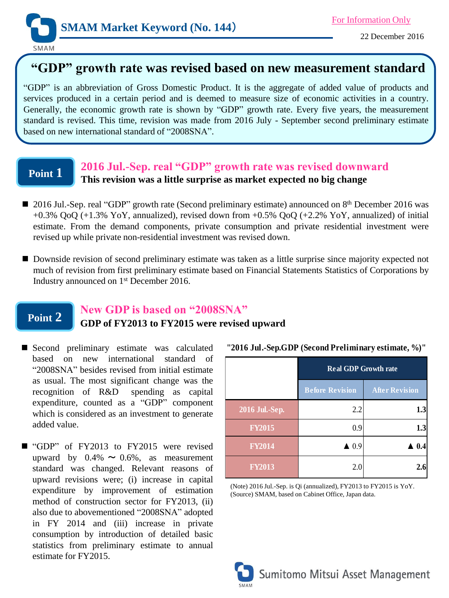

SMAM

# **"GDP" growth rate was revised based on new measurement standard**

"GDP" is an abbreviation of Gross Domestic Product. It is the aggregate of added value of products and services produced in a certain period and is deemed to measure size of economic activities in a country. Generally, the economic growth rate is shown by "GDP" growth rate. Every five years, the measurement standard is revised. This time, revision was made from 2016 July - September second preliminary estimate based on new international standard of "2008SNA".

## **Point 1**

## **2016 Jul.-Sep. real "GDP" growth rate was revised downward This revision was a little surprise as market expected no big change**

- 2016 Jul.-Sep. real "GDP" growth rate (Second preliminary estimate) announced on 8<sup>th</sup> December 2016 was  $+0.3\%$  QoQ ( $+1.3\%$  YoY, annualized), revised down from  $+0.5\%$  QoQ ( $+2.2\%$  YoY, annualized) of initial estimate. From the demand components, private consumption and private residential investment were revised up while private non-residential investment was revised down.
- **Downside revision of second preliminary estimate was taken as a little surprise since majority expected not** much of revision from first preliminary estimate based on Financial Statements Statistics of Corporations by Industry announced on 1 st December 2016.

## **Point 2**

### **New GDP is based on "2008SNA"**

### **GDP of FY2013 to FY2015 were revised upward**

- Second preliminary estimate was calculated based on new international standard of "2008SNA" besides revised from initial estimate as usual. The most significant change was the recognition of R&D spending as capital expenditure, counted as a "GDP" component which is considered as an investment to generate added value.
- "GDP" of FY2013 to FY2015 were revised upward by  $0.4\% \sim 0.6\%$ , as measurement standard was changed. Relevant reasons of upward revisions were; (i) increase in capital expenditure by improvement of estimation method of construction sector for FY2013, (ii) also due to abovementioned "2008SNA" adopted in FY 2014 and (iii) increase in private consumption by introduction of detailed basic statistics from preliminary estimate to annual estimate for FY2015.

|                | <b>Real GDP Growth rate</b> |                       |
|----------------|-----------------------------|-----------------------|
|                | <b>Before Revision</b>      | <b>After Revision</b> |
| 2016 Jul.-Sep. | 2.2                         | 1.3                   |
| <b>FY2015</b>  | 0.9                         | 1.3                   |
| <b>FY2014</b>  | $\blacktriangle$ 0.9        | 0.4                   |
| <b>FY2013</b>  | 2.0                         | 2.6                   |

**"2016 Jul.-Sep.GDP (Second Preliminary estimate, %)"**

(Note) 2016 Jul.-Sep. is Qi (annualized), FY2013 to FY2015 is YoY. (Source) SMAM, based on Cabinet Office, Japan data.